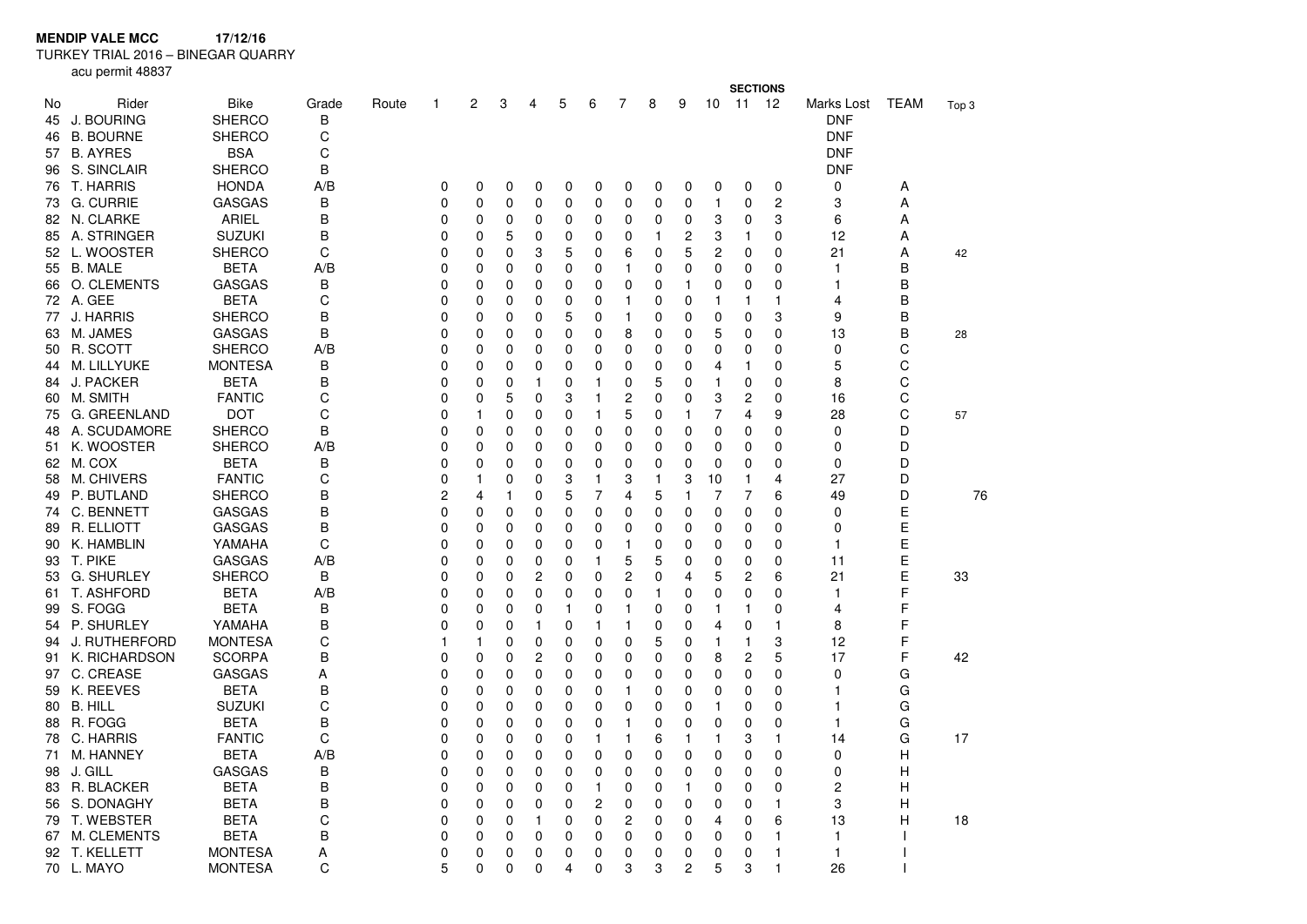**MENDIP VALE MCC 17/12/16**

TURKEY TRIAL 2016 – BINEGAR QUARRY

acu permit 48837

|          |                     |                       |            |       |          |          |              |                |              |                |   |          | <b>SECTIONS</b> |              |                |                |                          |             |       |
|----------|---------------------|-----------------------|------------|-------|----------|----------|--------------|----------------|--------------|----------------|---|----------|-----------------|--------------|----------------|----------------|--------------------------|-------------|-------|
| No<br>45 | Rider<br>J. BOURING | Bike<br><b>SHERCO</b> | Grade<br>В | Route | 1        | 2        | 3            | 4              | 5            | 6              | 7 | 8        | 9               | 10           | 11             | -12            | Marks Lost<br><b>DNF</b> | <b>TEAM</b> | Top 3 |
| 46       | <b>B. BOURNE</b>    | <b>SHERCO</b>         | С          |       |          |          |              |                |              |                |   |          |                 |              |                |                | <b>DNF</b>               |             |       |
| 57       | <b>B. AYRES</b>     | <b>BSA</b>            | C          |       |          |          |              |                |              |                |   |          |                 |              |                |                | <b>DNF</b>               |             |       |
|          | 96 S. SINCLAIR      | <b>SHERCO</b>         | B          |       |          |          |              |                |              |                |   |          |                 |              |                |                | <b>DNF</b>               |             |       |
| 76       | T. HARRIS           | <b>HONDA</b>          | A/B        |       | 0        | 0        | 0            | 0              | 0            | 0              | 0 | 0        | 0               | 0            | 0              | $\mathbf 0$    | 0                        | Α           |       |
|          | 73 G. CURRIE        | <b>GASGAS</b>         | В          |       | 0        | 0        | 0            | 0              | 0            | 0              | 0 | 0        | 0               | $\mathbf{1}$ | 0              | 2              | 3                        | Α           |       |
|          | 82 N. CLARKE        | <b>ARIEL</b>          | B          |       | 0        | 0        | 0            | 0              | 0            | 0              | 0 | 0        | 0               | 3            | 0              | 3              | 6                        | Α           |       |
|          | 85 A. STRINGER      | <b>SUZUKI</b>         | B          |       | 0        | 0        | 5            | 0              | 0            | 0              | 0 | 1        | 2               | 3            | 1              | 0              | 12                       | Α           |       |
|          | 52 L. WOOSTER       | <b>SHERCO</b>         | C          |       | 0        | 0        | 0            | 3              | 5            | 0              | 6 | 0        | 5               | 2            | 0              | $\mathbf 0$    | 21                       | Α           | 42    |
| 55       | B. MALE             | <b>BETA</b>           | A/B        |       | 0        | 0        | 0            | 0              | 0            | 0              | 1 | 0        | 0               | 0            | 0              | 0              | 1                        | B           |       |
|          | 66 O. CLEMENTS      | <b>GASGAS</b>         | В          |       | 0        | 0        | $\mathbf 0$  | 0              | 0            | 0              | 0 | 0        | 1               | 0            | 0              | 0              | 1                        | B           |       |
|          | 72 A. GEE           | <b>BETA</b>           | C          |       | 0        | 0        | 0            | 0              | 0            | 0              | 1 | 0        | 0               | 1            | 1              | $\mathbf{1}$   | 4                        | B           |       |
| 77       | J. HARRIS           | <b>SHERCO</b>         | B          |       | 0        | 0        | 0            | 0              | 5            | 0              | 1 | 0        | 0               | 0            | 0              | 3              | 9                        | B           |       |
| 63       | M. JAMES            | <b>GASGAS</b>         | B          |       | 0        | 0        | $\mathbf 0$  | 0              | 0            | 0              | 8 | 0        | 0               | 5            | 0              | $\Omega$       | 13                       | B           | 28    |
| 50       | R. SCOTT            | <b>SHERCO</b>         | A/B        |       | 0        | 0        | 0            | 0              | 0            | 0              | 0 | 0        | 0               | 0            | 0              | 0              | 0                        | C           |       |
| 44       | <b>M. LILLYUKE</b>  | <b>MONTESA</b>        | B          |       | 0        | 0        | 0            | 0              | $\Omega$     | $\Omega$       | 0 | $\Omega$ | 0               | 4            | 1              | $\Omega$       | 5                        | C           |       |
| 84       | <b>J. PACKER</b>    | <b>BETA</b>           | B          |       | 0        | 0        | 0            | 1              | 0            | 1              | 0 | 5        | 0               | 1            | 0              | 0              | 8                        | C           |       |
|          | 60 M. SMITH         | <b>FANTIC</b>         | C          |       | 0        | 0        | 5            | 0              | 3            | 1              | 2 | 0        | 0               | 3            | 2              | $\Omega$       | 16                       | C           |       |
| 75       | G. GREENLAND        | <b>DOT</b>            | C          |       | 0        | 1        | 0            | 0              | 0            | 1              | 5 | 0        | 1               | 7            | 4              | 9              | 28                       | C           | 57    |
| 48       | A. SCUDAMORE        | <b>SHERCO</b>         | B          |       | 0        | 0        | 0            | 0              | 0            | 0              | 0 | 0        | $\mathbf 0$     | 0            | 0              | 0              | 0                        | D           |       |
| 51       | K. WOOSTER          | <b>SHERCO</b>         | A/B        |       | 0        | 0        | 0            | 0              | 0            | 0              | 0 | 0        | 0               | 0            | 0              | 0              | 0                        | D           |       |
|          | 62 M. COX           | <b>BETA</b>           | B          |       | 0        | 0        | 0            | 0              | 0            | $\mathbf 0$    | 0 | 0        | $\mathbf 0$     | 0            | 0              | 0              | 0                        | D           |       |
| 58       | M. CHIVERS          | <b>FANTIC</b>         | C          |       | $\Omega$ | 1        | 0            | 0              | 3            | 1              | 3 | 1        | 3               | 10           | 1              | $\overline{4}$ | 27                       | D           |       |
| 49       | P. BUTLAND          | <b>SHERCO</b>         | B          |       | 2        | 4        | $\mathbf{1}$ | 0              | 5            | 7              | 4 | 5        | $\mathbf{1}$    | 7            | 7              | 6              | 49                       | D           | 76    |
|          | 74 C. BENNETT       | <b>GASGAS</b>         | B          |       | 0        | 0        | 0            | 0              | $\Omega$     | 0              | 0 | 0        | $\mathbf 0$     | 0            | $\Omega$       | $\Omega$       | 0                        | E           |       |
| 89       | R. ELLIOTT          | <b>GASGAS</b>         | B          |       | 0        | 0        | 0            | 0              | 0            | 0              | 0 | 0        | 0               | 0            | 0              | 0              | 0                        | E           |       |
|          | 90 K. HAMBLIN       | YAMAHA                | C          |       | 0        | 0        | 0            | 0              | 0            | 0              | 1 | 0        | 0               | 0            | 0              | $\mathbf 0$    | 1                        | E           |       |
|          | 93 T. PIKE          | <b>GASGAS</b>         | A/B        |       | 0        | 0        | 0            | 0              | 0            | 1              | 5 | 5        | 0               | 0            | 0              | $\mathbf 0$    | 11                       | E           |       |
| 53       | <b>G. SHURLEY</b>   | <b>SHERCO</b>         | B          |       | 0        | 0        | $\mathbf 0$  | 2              | 0            | 0              | 2 | 0        | 4               | 5            | 2              | 6              | 21                       | E           | 33    |
|          | 61 T. ASHFORD       | BETA                  | A/B        |       | 0        | 0        | 0            | 0              | 0            | 0              | 0 | 1        | 0               | 0            | 0              | 0              | 1                        | F           |       |
|          | S. FOGG             | <b>BETA</b>           | B          |       |          |          | 0            | 0              | $\mathbf{1}$ | 0              | 1 | 0        | 0               | 1            | 1              | 0              |                          | F           |       |
| 99       | 54 P. SHURLEY       | YAMAHA                | B          |       | 0<br>0   | 0<br>0   | 0            | 1              | 0            | 1              | 1 | 0        | $\mathbf 0$     | 4            | 0              | $\mathbf{1}$   | 4<br>8                   | F           |       |
|          |                     |                       |            |       | 1        |          |              |                |              |                |   |          |                 |              |                | 3              |                          | F           |       |
| 94       | J. RUTHERFORD       | <b>MONTESA</b>        | С          |       |          | 1        | 0            | 0              | 0            | 0              | 0 | 5        | 0               | 1            | 1              | 5              | 12                       | F           |       |
| 91.      | K. RICHARDSON       | <b>SCORPA</b>         | B          |       | 0        | 0        | 0            | $\overline{c}$ | $\Omega$     | 0              | 0 | 0        | 0               | 8            | $\overline{c}$ |                | 17                       |             | 42    |
| 97       | C. CREASE           | <b>GASGAS</b>         | Α          |       | 0        | 0        | 0            | 0              | 0            | 0              | 0 | 0        | 0               | 0            | 0              | 0              | 0                        | G           |       |
|          | 59 K. REEVES        | <b>BETA</b>           | B          |       | 0        | 0        | 0            | 0              | 0            | 0              | 1 | 0        | 0               | 0            | 0              | $\mathbf 0$    | 1                        | G           |       |
|          | 80 B. HILL          | <b>SUZUKI</b>         | C          |       | 0        | 0        | 0            | 0              | 0            | 0              | 0 | 0        | 0               | 1            | 0              | $\mathbf 0$    | 1                        | G           |       |
|          | 88 R. FOGG          | <b>BETA</b>           | B          |       | 0        | 0        | 0            | 0              | 0            | 0              | 1 | 0        | 0               | 0            | 0              | 0              | 1                        | G           |       |
| 78       | C. HARRIS           | <b>FANTIC</b>         | C          |       | 0        | 0        | 0            | 0              | 0            | 1              | 1 | 6        | 1               | 1            | 3              | 1              | 14                       | G           | 17    |
| 71       | M. HANNEY           | <b>BETA</b>           | A/B        |       | 0        | 0        | 0            | 0              | 0            | $\mathbf 0$    | 0 | 0        | 0               | 0            | 0              | 0              | 0                        | Н           |       |
| 98       | J. GILL             | <b>GASGAS</b>         | В          |       | 0        | 0        | 0            | 0              | $\Omega$     | $\mathbf 0$    | 0 | $\Omega$ | 0               | 0            | $\Omega$       | $\Omega$       | 0                        | Η           |       |
|          | 83 R. BLACKER       | <b>BETA</b>           | B          |       | 0        | 0        | 0            | 0              | 0            | 1              | 0 | 0        | $\mathbf{1}$    | 0            | 0              | 0              | $\overline{c}$           | Н           |       |
| 56       | S. DONAGHY          | <b>BETA</b>           | B          |       | 0        | 0        | 0            | 0              | 0            | $\overline{c}$ | 0 | $\Omega$ | 0               | 0            | $\Omega$       | $\mathbf{1}$   | 3                        | Н           |       |
| 79       | T. WEBSTER          | <b>BETA</b>           | C          |       | 0        | 0        | 0            | 1              | 0            | 0              | 2 | 0        | 0               | 4            | 0              | 6              | 13                       | Η           | 18    |
| 67       | <b>M. CLEMENTS</b>  | <b>BETA</b>           | B          |       | 0        | 0        | 0            | 0              | 0            | 0              | 0 | 0        | 0               | 0            | 0              | $\mathbf{1}$   | 1                        |             |       |
|          | 92 T. KELLETT       | <b>MONTESA</b>        | Α          |       | 0        | 0        | 0            | 0              | 0            | 0              | 0 | 0        | 0               | 0            | 0              | 1              | 1                        |             |       |
|          | 70 L. MAYO          | <b>MONTESA</b>        | C          |       | 5        | $\Omega$ | $\Omega$     | $\Omega$       | 4            | $\Omega$       | 3 | 3        | $\overline{2}$  | 5            | 3              | 1              | 26                       |             |       |